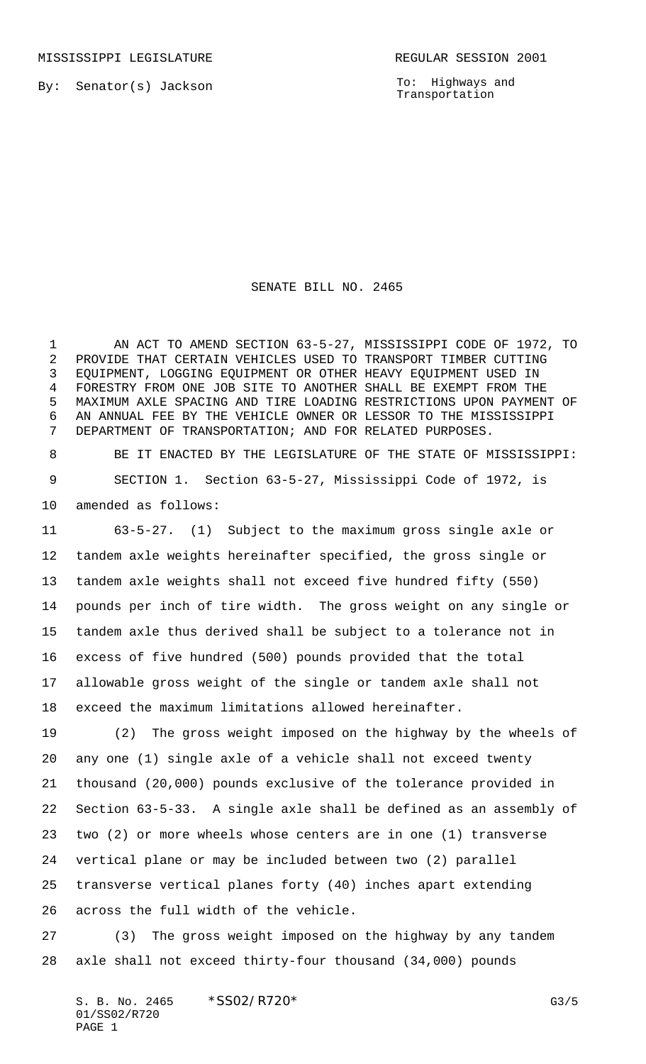By: Senator(s) Jackson

To: Highways and Transportation

SENATE BILL NO. 2465

1 AN ACT TO AMEND SECTION 63-5-27, MISSISSIPPI CODE OF 1972, TO PROVIDE THAT CERTAIN VEHICLES USED TO TRANSPORT TIMBER CUTTING EQUIPMENT, LOGGING EQUIPMENT OR OTHER HEAVY EQUIPMENT USED IN FORESTRY FROM ONE JOB SITE TO ANOTHER SHALL BE EXEMPT FROM THE MAXIMUM AXLE SPACING AND TIRE LOADING RESTRICTIONS UPON PAYMENT OF AN ANNUAL FEE BY THE VEHICLE OWNER OR LESSOR TO THE MISSISSIPPI DEPARTMENT OF TRANSPORTATION; AND FOR RELATED PURPOSES.

 BE IT ENACTED BY THE LEGISLATURE OF THE STATE OF MISSISSIPPI: SECTION 1. Section 63-5-27, Mississippi Code of 1972, is amended as follows:

 63-5-27. (1) Subject to the maximum gross single axle or tandem axle weights hereinafter specified, the gross single or tandem axle weights shall not exceed five hundred fifty (550) pounds per inch of tire width. The gross weight on any single or tandem axle thus derived shall be subject to a tolerance not in excess of five hundred (500) pounds provided that the total allowable gross weight of the single or tandem axle shall not exceed the maximum limitations allowed hereinafter.

 (2) The gross weight imposed on the highway by the wheels of any one (1) single axle of a vehicle shall not exceed twenty thousand (20,000) pounds exclusive of the tolerance provided in Section 63-5-33. A single axle shall be defined as an assembly of two (2) or more wheels whose centers are in one (1) transverse vertical plane or may be included between two (2) parallel transverse vertical planes forty (40) inches apart extending across the full width of the vehicle.

 (3) The gross weight imposed on the highway by any tandem axle shall not exceed thirty-four thousand (34,000) pounds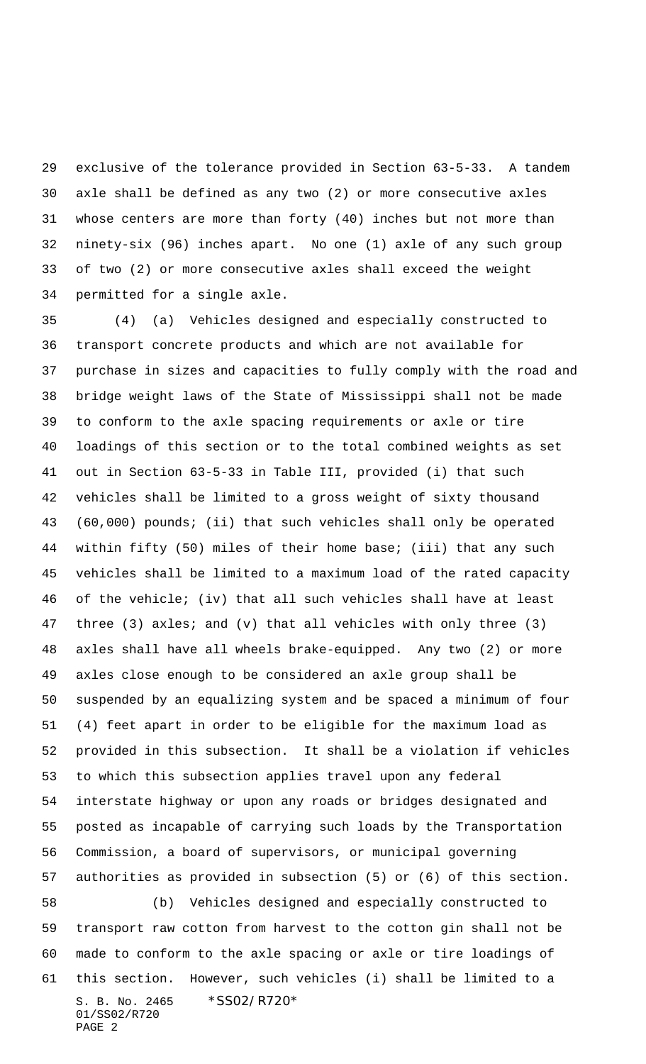exclusive of the tolerance provided in Section 63-5-33. A tandem axle shall be defined as any two (2) or more consecutive axles whose centers are more than forty (40) inches but not more than ninety-six (96) inches apart. No one (1) axle of any such group of two (2) or more consecutive axles shall exceed the weight permitted for a single axle.

S. B. No. 2465 \*SS02/R720\* 01/SS02/R720 PAGE 2 (4) (a) Vehicles designed and especially constructed to transport concrete products and which are not available for purchase in sizes and capacities to fully comply with the road and bridge weight laws of the State of Mississippi shall not be made to conform to the axle spacing requirements or axle or tire loadings of this section or to the total combined weights as set out in Section 63-5-33 in Table III, provided (i) that such vehicles shall be limited to a gross weight of sixty thousand (60,000) pounds; (ii) that such vehicles shall only be operated within fifty (50) miles of their home base; (iii) that any such vehicles shall be limited to a maximum load of the rated capacity of the vehicle; (iv) that all such vehicles shall have at least three (3) axles; and (v) that all vehicles with only three (3) axles shall have all wheels brake-equipped. Any two (2) or more axles close enough to be considered an axle group shall be suspended by an equalizing system and be spaced a minimum of four (4) feet apart in order to be eligible for the maximum load as provided in this subsection. It shall be a violation if vehicles to which this subsection applies travel upon any federal interstate highway or upon any roads or bridges designated and posted as incapable of carrying such loads by the Transportation Commission, a board of supervisors, or municipal governing authorities as provided in subsection (5) or (6) of this section. (b) Vehicles designed and especially constructed to transport raw cotton from harvest to the cotton gin shall not be made to conform to the axle spacing or axle or tire loadings of this section. However, such vehicles (i) shall be limited to a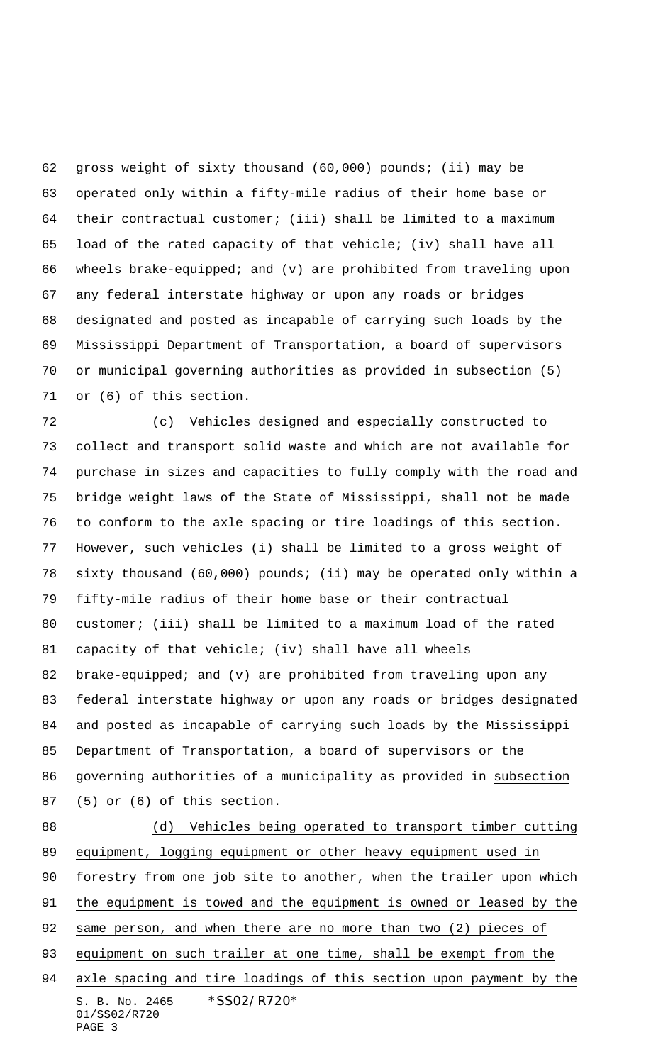gross weight of sixty thousand (60,000) pounds; (ii) may be operated only within a fifty-mile radius of their home base or their contractual customer; (iii) shall be limited to a maximum load of the rated capacity of that vehicle; (iv) shall have all wheels brake-equipped; and (v) are prohibited from traveling upon any federal interstate highway or upon any roads or bridges designated and posted as incapable of carrying such loads by the Mississippi Department of Transportation, a board of supervisors or municipal governing authorities as provided in subsection (5) or (6) of this section.

 (c) Vehicles designed and especially constructed to collect and transport solid waste and which are not available for purchase in sizes and capacities to fully comply with the road and bridge weight laws of the State of Mississippi, shall not be made to conform to the axle spacing or tire loadings of this section. However, such vehicles (i) shall be limited to a gross weight of sixty thousand (60,000) pounds; (ii) may be operated only within a fifty-mile radius of their home base or their contractual customer; (iii) shall be limited to a maximum load of the rated capacity of that vehicle; (iv) shall have all wheels brake-equipped; and (v) are prohibited from traveling upon any federal interstate highway or upon any roads or bridges designated and posted as incapable of carrying such loads by the Mississippi Department of Transportation, a board of supervisors or the governing authorities of a municipality as provided in subsection (5) or (6) of this section.

S. B. No. 2465 \* SS02/R720\* 01/SS02/R720 PAGE 3 (d) Vehicles being operated to transport timber cutting equipment, logging equipment or other heavy equipment used in forestry from one job site to another, when the trailer upon which the equipment is towed and the equipment is owned or leased by the same person, and when there are no more than two (2) pieces of 93 equipment on such trailer at one time, shall be exempt from the axle spacing and tire loadings of this section upon payment by the